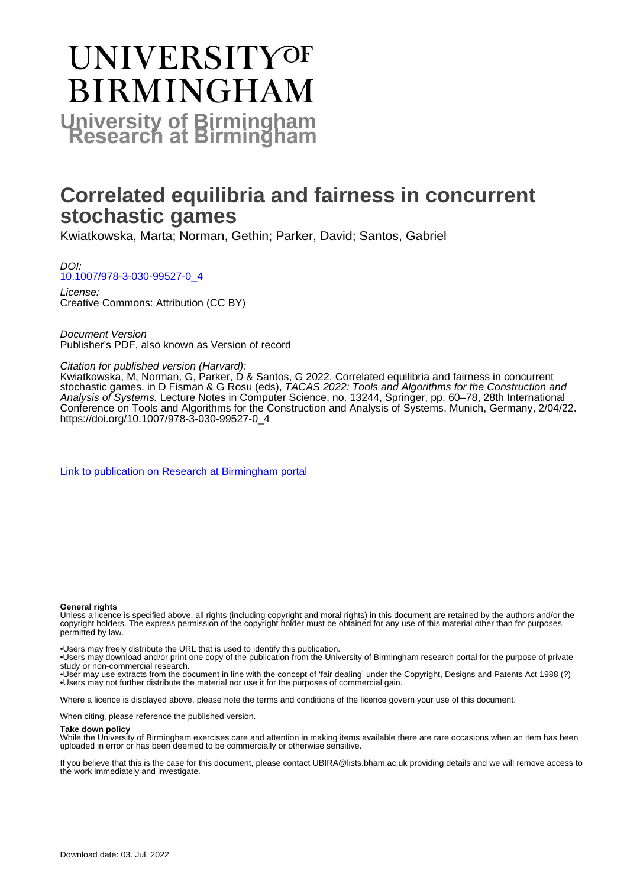# **UNIVERSITYOF BIRMINGHAM University of Birmingham**

# **Correlated equilibria and fairness in concurrent stochastic games**

Kwiatkowska, Marta; Norman, Gethin; Parker, David; Santos, Gabriel

DOI: [10.1007/978-3-030-99527-0\\_4](https://doi.org/10.1007/978-3-030-99527-0_4)

License: Creative Commons: Attribution (CC BY)

Document Version Publisher's PDF, also known as Version of record

# Citation for published version (Harvard):

Kwiatkowska, M, Norman, G, Parker, D & Santos, G 2022, Correlated equilibria and fairness in concurrent stochastic games. in D Fisman & G Rosu (eds), TACAS 2022: Tools and Algorithms for the Construction and Analysis of Systems. Lecture Notes in Computer Science, no. 13244, Springer, pp. 60–78, 28th International Conference on Tools and Algorithms for the Construction and Analysis of Systems, Munich, Germany, 2/04/22. [https://doi.org/10.1007/978-3-030-99527-0\\_4](https://doi.org/10.1007/978-3-030-99527-0_4)

[Link to publication on Research at Birmingham portal](https://birmingham.elsevierpure.com/en/publications/d7182ece-afe9-4119-b137-d6e158ccbbf4)

#### **General rights**

Unless a licence is specified above, all rights (including copyright and moral rights) in this document are retained by the authors and/or the copyright holders. The express permission of the copyright holder must be obtained for any use of this material other than for purposes permitted by law.

• Users may freely distribute the URL that is used to identify this publication.

• Users may download and/or print one copy of the publication from the University of Birmingham research portal for the purpose of private study or non-commercial research.

• User may use extracts from the document in line with the concept of 'fair dealing' under the Copyright, Designs and Patents Act 1988 (?) • Users may not further distribute the material nor use it for the purposes of commercial gain.

Where a licence is displayed above, please note the terms and conditions of the licence govern your use of this document.

When citing, please reference the published version.

#### **Take down policy**

While the University of Birmingham exercises care and attention in making items available there are rare occasions when an item has been uploaded in error or has been deemed to be commercially or otherwise sensitive.

If you believe that this is the case for this document, please contact UBIRA@lists.bham.ac.uk providing details and we will remove access to the work immediately and investigate.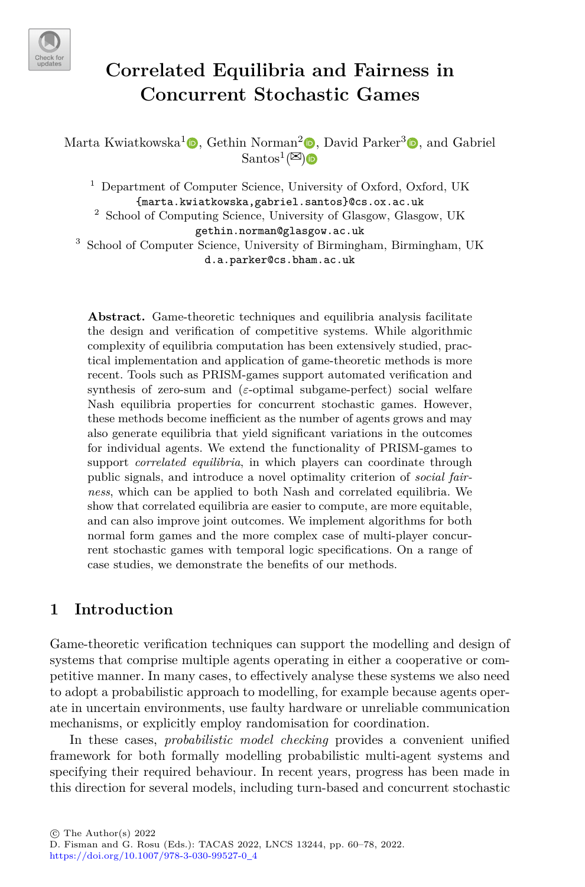

# **Correlated Equilibria and Fairness in Concurrent Stochastic Games**

Marta Kwiatkowska<sup>1</sup><sup>®</sup>, Gethin Norman<sup>2</sup><sup>®</sup>, David Parker<sup>[3](http://orcid.org/0000-0003-4137-8862)</sup><sup>®</sup>, and Gabriel  $\text{Santos}^1(\mathbb{Z})$  $\text{Santos}^1(\mathbb{Z})$ 

<sup>1</sup> Department of Computer Science, University of Oxford, Oxford, UK {marta.kwiatkowska,gabriel.santos}@cs.ox.ac.uk

<sup>2</sup> School of Computing Science, University of Glasgow, Glasgow, UK gethin.norman@glasgow.ac.uk

<sup>3</sup> School of Computer Science, University of Birmingham, Birmingham, UK d.a.parker@cs.bham.ac.uk

**Abstract.** Game-theoretic techniques and equilibria analysis facilitate the design and verifcation of competitive systems. While algorithmic complexity of equilibria computation has been extensively studied, practical implementation and application of game-theoretic methods is more recent. Tools such as PRISM-games support automated verifcation and synthesis of zero-sum and (*ε*-optimal subgame-perfect) social welfare Nash equilibria properties for concurrent stochastic games. However, these methods become inefficient as the number of agents grows and may also generate equilibria that yield signifcant variations in the outcomes for individual agents. We extend the functionality of PRISM-games to support *correlated equilibria*, in which players can coordinate through public signals, and introduce a novel optimality criterion of *social fairness*, which can be applied to both Nash and correlated equilibria. We show that correlated equilibria are easier to compute, are more equitable, and can also improve joint outcomes. We implement algorithms for both normal form games and the more complex case of multi-player concurrent stochastic games with temporal logic specifcations. On a range of case studies, we demonstrate the benefts of our methods.

# **1 Introduction**

Game-theoretic verifcation techniques can support the modelling and design of systems that comprise multiple agents operating in either a cooperative or competitive manner. In many cases, to efectively analyse these systems we also need to adopt a probabilistic approach to modelling, for example because agents operate in uncertain environments, use faulty hardware or unreliable communication mechanisms, or explicitly employ randomisation for coordination.

In these cases, *probabilistic model checking* provides a convenient unifed framework for both formally modelling probabilistic multi-agent systems and specifying their required behaviour. In recent years, progress has been made in this direction for several models, including turn-based and concurrent stochastic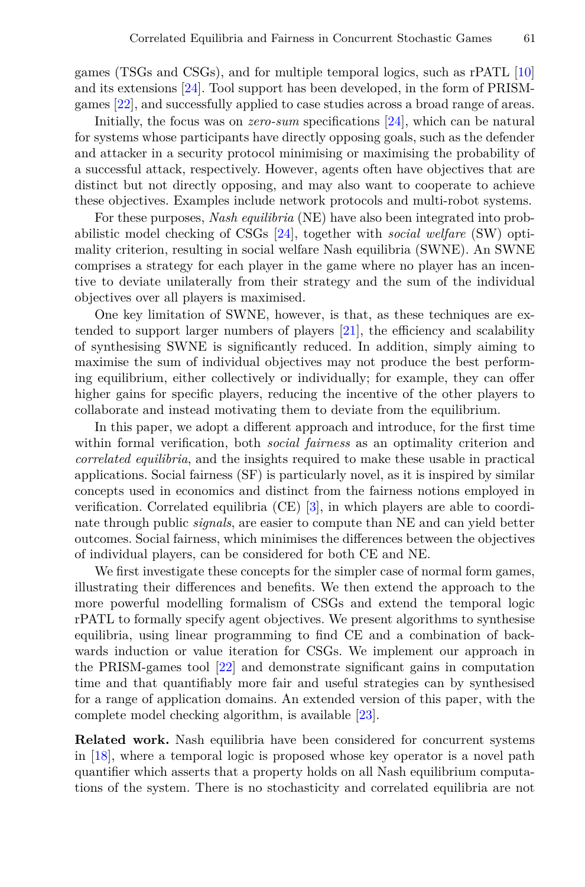games (TSGs and CSGs), and for multiple temporal logics, such as rPATL [\[10](#page-17-0)] and its extensions [[24\]](#page-18-0). Tool support has been developed, in the form of PRISMgames [\[22](#page-17-1)], and successfully applied to case studies across a broad range of areas.

Initially, the focus was on *zero-sum* specifcations [\[24](#page-18-0)], which can be natural for systems whose participants have directly opposing goals, such as the defender and attacker in a security protocol minimising or maximising the probability of a successful attack, respectively. However, agents often have objectives that are distinct but not directly opposing, and may also want to cooperate to achieve these objectives. Examples include network protocols and multi-robot systems.

For these purposes, *Nash equilibria* (NE) have also been integrated into probabilistic model checking of CSGs [\[24](#page-18-0)], together with *social welfare* (SW) optimality criterion, resulting in social welfare Nash equilibria (SWNE). An SWNE comprises a strategy for each player in the game where no player has an incentive to deviate unilaterally from their strategy and the sum of the individual objectives over all players is maximised.

One key limitation of SWNE, however, is that, as these techniques are extended to support larger numbers of players [[21\]](#page-17-2), the effciency and scalability of synthesising SWNE is signifcantly reduced. In addition, simply aiming to maximise the sum of individual objectives may not produce the best performing equilibrium, either collectively or individually; for example, they can ofer higher gains for specifc players, reducing the incentive of the other players to collaborate and instead motivating them to deviate from the equilibrium.

In this paper, we adopt a diferent approach and introduce, for the frst time within formal verifcation, both *social fairness* as an optimality criterion and *correlated equilibria*, and the insights required to make these usable in practical applications. Social fairness (SF) is particularly novel, as it is inspired by similar concepts used in economics and distinct from the fairness notions employed in verifcation. Correlated equilibria (CE) [[3\]](#page-17-3), in which players are able to coordinate through public *signals*, are easier to compute than NE and can yield better outcomes. Social fairness, which minimises the diferences between the objectives of individual players, can be considered for both CE and NE.

We first investigate these concepts for the simpler case of normal form games, illustrating their diferences and benefts. We then extend the approach to the more powerful modelling formalism of CSGs and extend the temporal logic rPATL to formally specify agent objectives. We present algorithms to synthesise equilibria, using linear programming to fnd CE and a combination of backwards induction or value iteration for CSGs. We implement our approach in the PRISM-games tool [[22\]](#page-17-1) and demonstrate signifcant gains in computation time and that quantifably more fair and useful strategies can by synthesised for a range of application domains. An extended version of this paper, with the complete model checking algorithm, is available [[23\]](#page-18-1).

**Related work.** Nash equilibria have been considered for concurrent systems in [[18\]](#page-17-4), where a temporal logic is proposed whose key operator is a novel path quantifer which asserts that a property holds on all Nash equilibrium computations of the system. There is no stochasticity and correlated equilibria are not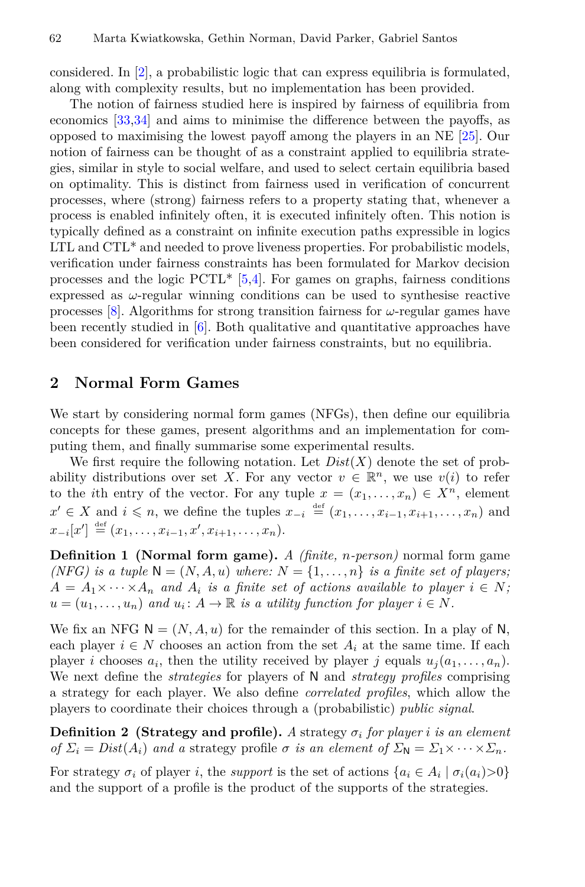considered. In [[2\]](#page-17-5), a probabilistic logic that can express equilibria is formulated, along with complexity results, but no implementation has been provided.

The notion of fairness studied here is inspired by fairness of equilibria from economics[[33,](#page-18-2)[34\]](#page-18-3) and aims to minimise the diference between the payofs, as opposed to maximising the lowest payof among the players in an NE [\[25](#page-18-4)]. Our notion of fairness can be thought of as a constraint applied to equilibria strategies, similar in style to social welfare, and used to select certain equilibria based on optimality. This is distinct from fairness used in verifcation of concurrent processes, where (strong) fairness refers to a property stating that, whenever a process is enabled infnitely often, it is executed infnitely often. This notion is typically defned as a constraint on infnite execution paths expressible in logics LTL and CTL\* and needed to prove liveness properties. For probabilistic models, verifcation under fairness constraints has been formulated for Markov decision processes and the logic  $PCTL^*$  [[5](#page-17-6)[,4](#page-17-7)]. For games on graphs, fairness conditions expressed as *ω*-regular winning conditions can be used to synthesise reactive processes [\[8](#page-17-8)]. Algorithms for strong transition fairness for *ω*-regular games have been recently studied in [\[6](#page-17-9)]. Both qualitative and quantitative approaches have been considered for verifcation under fairness constraints, but no equilibria.

#### <span id="page-3-2"></span>**2 Normal Form Games**

We start by considering normal form games (NFGs), then define our equilibria concepts for these games, present algorithms and an implementation for computing them, and fnally summarise some experimental results.

We first require the following notation. Let  $Dist(X)$  denote the set of probability distributions over set *X*. For any vector  $v \in \mathbb{R}^n$ , we use  $v(i)$  to refer to the *i*th entry of the vector. For any tuple  $x = (x_1, \ldots, x_n) \in X^n$ , element  $x' \in X$  and  $i \leq n$ , we define the tuples  $x_{-i} \stackrel{\text{def}}{=} (x_1, \ldots, x_{i-1}, x_{i+1}, \ldots, x_n)$  and  $x_{-i}[x'] \stackrel{\text{def}}{=} (x_1, \ldots, x_{i-1}, x', x_{i+1}, \ldots, x_n).$ 

**Defnition 1 (Normal form game).** *A (fnite, n-person)* normal form game *(NFG) is a tuple*  $N = (N, A, u)$  *where:*  $N = \{1, \ldots, n\}$  *is a finite set of players;*  $A = A_1 \times \cdots \times A_n$  and  $A_i$  *is a finite set of actions available to player*  $i \in N$ ;  $u = (u_1, \ldots, u_n)$  and  $u_i: A \to \mathbb{R}$  is a utility function for player  $i \in N$ .

We fix an NFG  $N = (N, A, u)$  for the remainder of this section. In a play of N, each player  $i \in N$  chooses an action from the set  $A_i$  at the same time. If each player *i* chooses  $a_i$ , then the utility received by player *j* equals  $u_j(a_1, \ldots, a_n)$ . We next defne the *strategies* for players of N and *strategy profles* comprising a strategy for each player. We also defne *correlated profles*, which allow the players to coordinate their choices through a (probabilistic) *public signal*.

<span id="page-3-0"></span>**Definition 2 (Strategy and profile).** *A* strategy  $\sigma_i$  *for player i is an element of*  $\Sigma_i = Dist(A_i)$  *and a* strategy profile *σ is an element of*  $\Sigma_N = \Sigma_1 \times \cdots \times \Sigma_n$ .

<span id="page-3-1"></span>For strategy  $\sigma_i$  of player *i*, the *support* is the set of actions  $\{a_i \in A_i \mid \sigma_i(a_i) > 0\}$ and the support of a profle is the product of the supports of the strategies.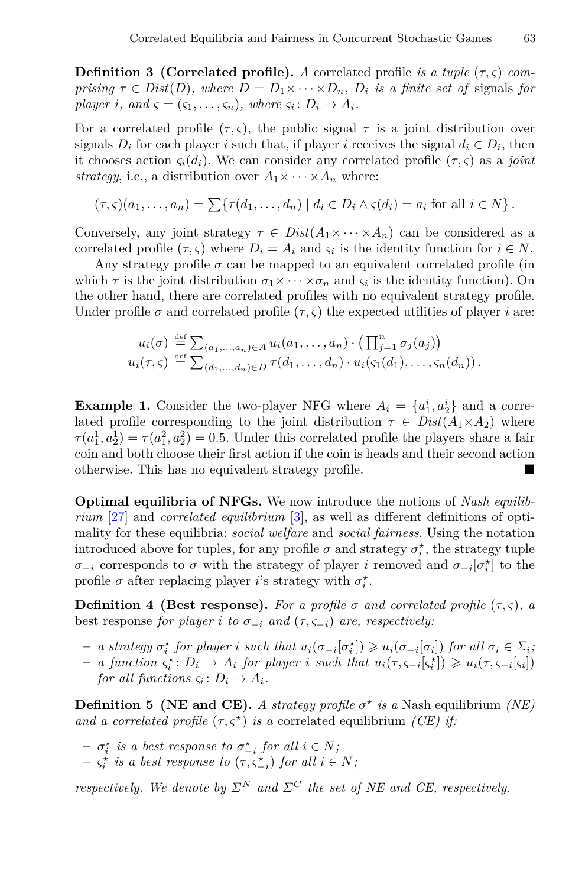**Definition 3 (Correlated profile).** *A* correlated profile *is a tuple*  $(\tau, \zeta)$  *comprising*  $\tau \in Dist(D)$ *, where*  $D = D_1 \times \cdots \times D_n$ *,*  $D_i$  *is a finite set of signals for player i*, and  $\varsigma = (\varsigma_1, \ldots, \varsigma_n)$ , where  $\varsigma_i \colon D_i \to A_i$ .

For a correlated profile  $(\tau, \varsigma)$ , the public signal  $\tau$  is a joint distribution over signals  $D_i$  for each player *i* such that, if player *i* receives the signal  $d_i \in D_i$ , then it chooses action  $\varsigma_i(d_i)$ . We can consider any correlated profile  $(\tau, \varsigma)$  as a *joint strategy*, i.e., a distribution over  $A_1 \times \cdots \times A_n$  where:

$$
(\tau,\varsigma)(a_1,\ldots,a_n)=\sum\{\tau(d_1,\ldots,d_n)\mid d_i\in D_i\wedge \varsigma(d_i)=a_i\text{ for all }i\in N\}.
$$

Conversely, any joint strategy  $\tau \in Dist(A_1 \times \cdots \times A_n)$  can be considered as a correlated profile  $(\tau, \varsigma)$  where  $D_i = A_i$  and  $\varsigma_i$  is the identity function for  $i \in N$ .

Any strategy profile  $\sigma$  can be mapped to an equivalent correlated profile (in which  $\tau$  is the joint distribution  $\sigma_1 \times \cdots \times \sigma_n$  and  $\varsigma_i$  is the identity function). On the other hand, there are correlated profles with no equivalent strategy profle. Under profile  $\sigma$  and correlated profile  $(\tau, \varsigma)$  the expected utilities of player *i* are:

$$
u_i(\sigma) \stackrel{\text{def}}{=} \sum_{(a_1,\ldots,a_n)\in A} u_i(a_1,\ldots,a_n) \cdot \left(\prod_{j=1}^n \sigma_j(a_j)\right)
$$
  

$$
u_i(\tau,\varsigma) \stackrel{\text{def}}{=} \sum_{(d_1,\ldots,d_n)\in D} \tau(d_1,\ldots,d_n) \cdot u_i(\varsigma_1(d_1),\ldots,\varsigma_n(d_n)).
$$

**Example 1.** Consider the two-player NFG where  $A_i = \{a_1^i, a_2^i\}$  and a correlated profile corresponding to the joint distribution  $\tau \in Dist(A_1 \times A_2)$  where  $\tau(a_1^1, a_2^1) = \tau(a_1^2, a_2^2) = 0.5$ . Under this correlated profile the players share a fair coin and both choose their frst action if the coin is heads and their second action otherwise. This has no equivalent strategy profile.

**Optimal equilibria of NFGs.** We now introduce the notions of *Nash equilibrium* [[27\]](#page-18-5) and *correlated equilibrium* [[3\]](#page-17-3), as well as diferent defnitions of optimality for these equilibria: *social welfare* and *social fairness*. Using the notation introduced above for tuples, for any profile  $\sigma$  and strategy  $\sigma_i^*$ , the strategy tuple *σ*<sup>−*i*</sup> corresponds to *σ* with the strategy of player *i* removed and  $\sigma$ <sup>−*i*</sup>[ $\sigma_i^*$ ] to the profile  $\sigma$  after replacing player *i*'s strategy with  $\sigma_i^*$ .

**Definition 4 (Best response).** For a profile  $\sigma$  and correlated profile  $(\tau, \zeta)$ , a best response *for player i to*  $\sigma_{-i}$  *and* ( $\tau, \varsigma_{-i}$ ) *are, respectively:* 

- $-$  a strategy  $\sigma_i^*$  for player i such that  $u_i(\sigma_{-i}[\sigma_i^*]) \geq u_i(\sigma_{-i}[\sigma_i])$  for all  $\sigma_i \in \Sigma_i$
- $-$  a function  $\varsigma_i^* : D_i \to A_i$  for player i such that  $u_i(\tau, \varsigma_{-i}[\varsigma_i]) \geq u_i(\tau, \varsigma_{-i}[\varsigma_i])$ *for all functions*  $\varsigma_i \colon D_i \to A_i$ *.*

<span id="page-4-0"></span>**Definition 5** (NE and CE). A strategy profile  $\sigma^*$  is a Nash equilibrium *(NE) and a correlated profile*  $(\tau, \zeta^*)$  *is a* correlated equilibrium *(CE) if:* 

- $-\sigma_i^*$  *is a best response to*  $\sigma_{-i}^*$  *for all*  $i \in N$ ;
- $-\zeta_i^*$  *is a best response to*  $(\tau, \zeta_{-i}^*)$  *for all*  $i \in N$ ;

*respectively. We denote by*  $\Sigma^N$  *and*  $\Sigma^C$  *the set of NE and CE, respectively.*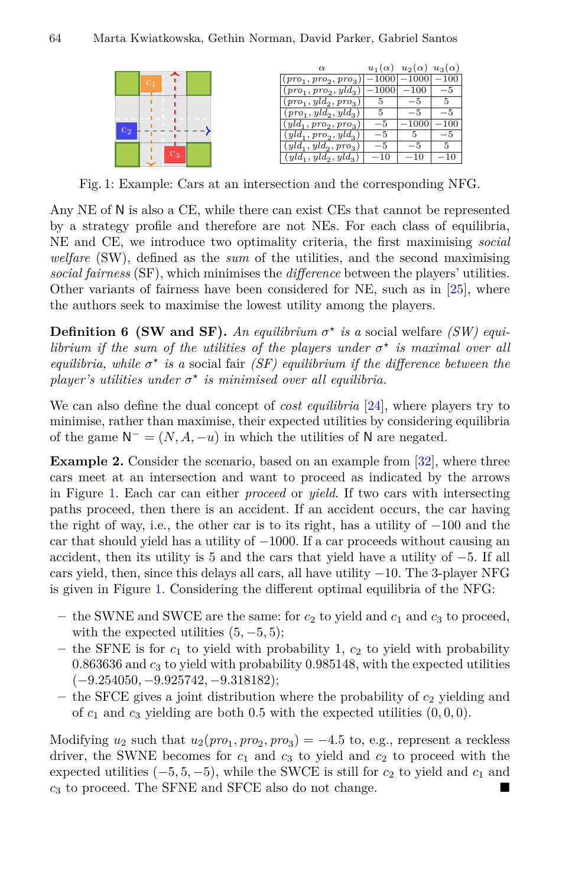<span id="page-5-0"></span>

|                         | $\alpha$                | $u_1(\alpha)$ | $u_2(\alpha)$ | $u_3(\alpha)$ |
|-------------------------|-------------------------|---------------|---------------|---------------|
|                         | $(pro1, pro2, pro3)$    | $-1000$       | $-1000\,$     | $-100$        |
|                         | $(pro_1, pro_2, yld_3)$ | $-1000$       | $-100$        | -5            |
|                         | $(pro_1, yld_2, pro_3)$ |               |               |               |
|                         | $(pro_1, yld_2, yld_3)$ |               |               |               |
|                         | $(yld_1, pro_2, pro_3)$ | -5            | $-1000\,$     | $-100$        |
| $\overline{\text{c}_2}$ | $(yld_1, pro_2, yld_3)$ |               |               | -5            |
|                         | $(yld_1, yld_2, pro_3)$ |               |               |               |
| $\mathrm{c}_3$          | $(yld_1, yld_2, yld_3)$ | $^{-10}$      | $-10$         |               |
|                         |                         |               |               |               |

<span id="page-5-1"></span>Fig. 1: Example: Cars at an intersection and the corresponding NFG.

Any NE of N is also a CE, while there can exist CEs that cannot be represented by a strategy profle and therefore are not NEs. For each class of equilibria, NE and CE, we introduce two optimality criteria, the frst maximising *social welfare* (SW), defned as the *sum* of the utilities, and the second maximising *social fairness* (SF), which minimises the *diference* between the players' utilities. Other variants of fairness have been considered for NE, such as in [\[25](#page-18-4)], where the authors seek to maximise the lowest utility among the players.

**Definition 6** (SW and SF). An equilibrium  $\sigma^*$  is a social welfare *(SW) equilibrium if the sum of the utilities of the players under*  $\sigma^*$  *is maximal over all equilibria, while*  $\sigma^*$  *is a* social fair *(SF) equilibrium if the difference between the player's utilities under*  $\sigma^*$  *is minimised over all equilibria.* 

We can also defne the dual concept of *cost equilibria* [\[24](#page-18-0)], where players try to minimise, rather than maximise, their expected utilities by considering equilibria of the game  $N^- = (N, A, -u)$  in which the utilities of N are negated.

**Example 2.** Consider the scenario, based on an example from [\[32](#page-18-6)], where three cars meet at an intersection and want to proceed as indicated by the arrows in Figure [1.](#page-5-0) Each car can either *proceed* or *yield*. If two cars with intersecting paths proceed, then there is an accident. If an accident occurs, the car having the right of way, i.e., the other car is to its right, has a utility of *−*100 and the car that should yield has a utility of *−*1000. If a car proceeds without causing an accident, then its utility is 5 and the cars that yield have a utility of *−*5. If all cars yield, then, since this delays all cars, all have utility *−*10. The 3-player NFG is given in Figure [1](#page-5-0). Considering the diferent optimal equilibria of the NFG:

- $-$  the SWNE and SWCE are the same: for  $c_2$  to yield and  $c_1$  and  $c_3$  to proceed, with the expected utilities  $(5, -5, 5)$ ;
- the SFNE is for  $c_1$  to yield with probability 1,  $c_2$  to yield with probability 0*.*863636 and *c*<sup>3</sup> to yield with probability 0*.*985148, with the expected utilities (*−*9*.*254050*, −*9*.*925742*, −*9*.*318182);
- **–** the SFCE gives a joint distribution where the probability of *c*<sup>2</sup> yielding and of  $c_1$  and  $c_3$  yielding are both 0.5 with the expected utilities  $(0,0,0)$ .

Modifying  $u_2$  such that  $u_2(pro_1, pro_2, pro_3) = -4.5$  to, e.g., represent a reckless driver, the SWNE becomes for  $c_1$  and  $c_3$  to yield and  $c_2$  to proceed with the expected utilities  $(-5, 5, -5)$ , while the SWCE is still for  $c_2$  to yield and  $c_1$  and  $c_3$  to proceed. The SFNE and SFCE also do not change.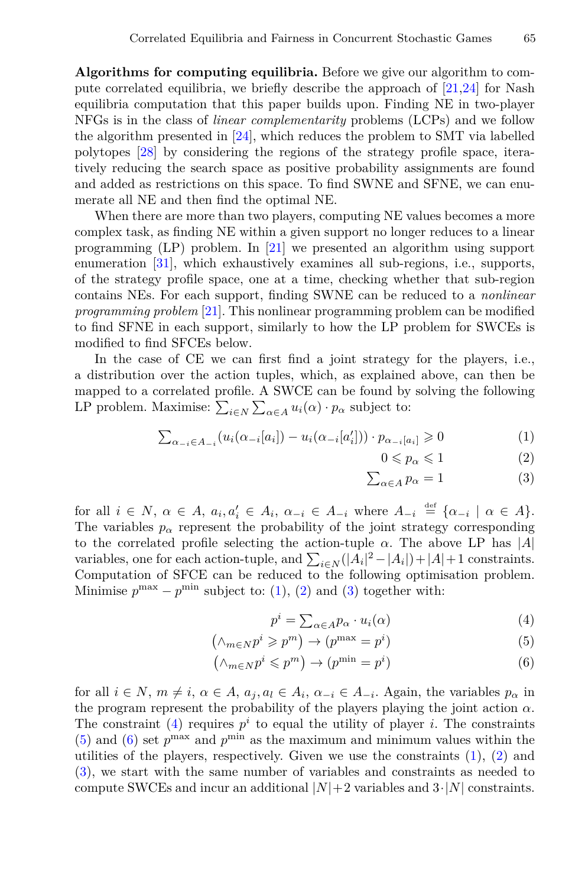**Algorithms for computing equilibria.** Before we give our algorithm to compute correlated equilibria, we briefly describe the approach of  $[21,24]$  $[21,24]$  $[21,24]$  for Nash equilibria computation that this paper builds upon. Finding NE in two-player NFGs is in the class of *linear complementarity* problems (LCPs) and we follow the algorithm presented in [\[24](#page-18-0)], which reduces the problem to SMT via labelled polytopes [\[28](#page-18-7)] by considering the regions of the strategy profle space, iteratively reducing the search space as positive probability assignments are found and added as restrictions on this space. To fnd SWNE and SFNE, we can enumerate all NE and then fnd the optimal NE.

When there are more than two players, computing NE values becomes a more complex task, as fnding NE within a given support no longer reduces to a linear programming (LP) problem. In [\[21](#page-17-2)] we presented an algorithm using support enumeration [[31](#page-18-8)], which exhaustively examines all sub-regions, i.e., supports, of the strategy profle space, one at a time, checking whether that sub-region contains NEs. For each support, fnding SWNE can be reduced to a *nonlinear programming problem* [\[21\]](#page-17-2). This nonlinear programming problem can be modifed to fnd SFNE in each support, similarly to how the LP problem for SWCEs is modifed to fnd SFCEs below.

In the case of CE we can first find a joint strategy for the players, i.e., a distribution over the action tuples, which, as explained above, can then be mapped to a correlated profle. A SWCE can be found by solving the following LP problem. Maximise:  $\sum_{i \in N} \sum_{\alpha \in A} u_i(\alpha) \cdot p_\alpha$  subject to:

<span id="page-6-0"></span>
$$
\sum_{\alpha_{-i} \in A_{-i}} (u_i(\alpha_{-i}[a_i]) - u_i(\alpha_{-i}[a'_i])) \cdot p_{\alpha_{-i}[a_i]} \ge 0
$$
\n(1)

$$
0 \leqslant p_{\alpha} \leqslant 1 \tag{2}
$$

$$
\sum_{\alpha \in A} p_{\alpha} = 1 \tag{3}
$$

for all  $i \in N$ ,  $\alpha \in A$ ,  $a_i, a'_i \in A_i$ ,  $\alpha_{-i} \in A_{-i}$  where  $A_{-i} \stackrel{\text{def}}{=} {\alpha_{-i} \mid \alpha \in A}$ . The variables  $p_{\alpha}$  represent the probability of the joint strategy corresponding to the correlated profle selecting the action-tuple *α*. The above LP has *|A|* variables, one for each action-tuple, and  $\sum_{i \in N} (|A_i|^2 - |A_i|) + |A| + 1$  constraints. Computation of SFCE can be reduced to the following optimisation problem. Minimise  $p^{\max} - p^{\min}$  subject to: ([1\)](#page-6-0), ([2](#page-6-0)) and ([3\)](#page-6-0) together with:

<span id="page-6-1"></span>
$$
p^i = \sum_{\alpha \in A} p_\alpha \cdot u_i(\alpha) \tag{4}
$$

$$
(\wedge_{m\in N}p^{i}\geqslant p^{m})\to(p^{\max}=p^{i})
$$
\n(5)

$$
(\wedge_{m\in N}p^i\leqslant p^m)\to(p^{\min}=p^i)
$$
\n(6)

for all  $i \in N$ ,  $m \neq i$ ,  $\alpha \in A$ ,  $a_j$ ,  $a_l \in A_i$ ,  $\alpha_{-i} \in A_{-i}$ . Again, the variables  $p_{\alpha}$  in the program represent the probability of the players playing the joint action  $\alpha$ . The constraint  $(4)$  $(4)$  requires  $p<sup>i</sup>$  to equal the utility of player *i*. The constraints [\(5\)](#page-6-1) and [\(6](#page-6-1)) set  $p^{\max}$  and  $p^{\min}$  as the maximum and minimum values within the utilities of the players, respectively. Given we use the constraints  $(1)$  $(1)$ ,  $(2)$  $(2)$  and [\(3\)](#page-6-0), we start with the same number of variables and constraints as needed to compute SWCEs and incur an additional  $|N|+2$  variables and  $3 \cdot |N|$  constraints.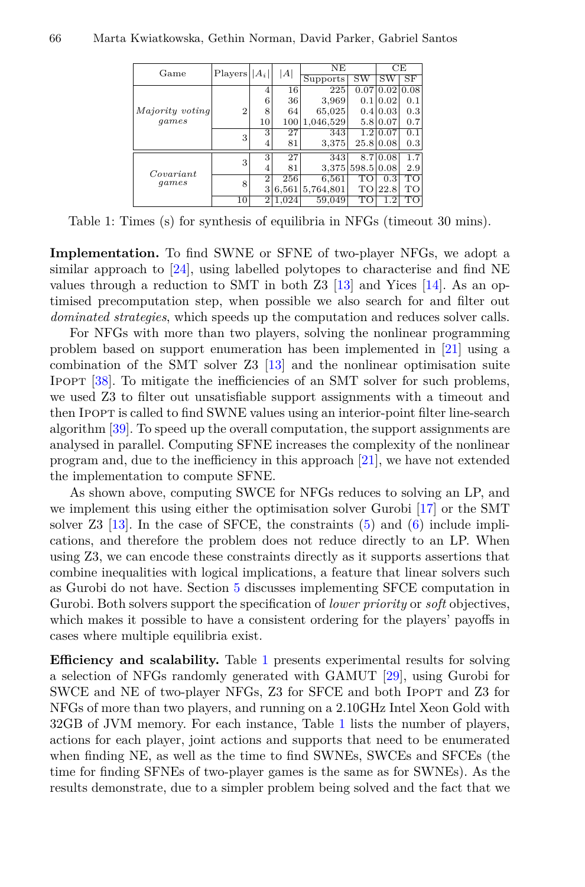<span id="page-7-0"></span>

| Game               | Players        | $ A_i $        | A     | NE            |       | CЕ               |      |
|--------------------|----------------|----------------|-------|---------------|-------|------------------|------|
|                    |                |                |       | Supports      | SW    | SW               | SF   |
|                    |                | $\overline{4}$ | 16    | 225           | 0.07  | 0.02             | 0.08 |
|                    |                | 6              | 36    | 3,969         | 0.1   | 0.02             | 0.1  |
| Majority voting    | $\overline{2}$ | 8              | 64    | 65,025        |       | 0.4 0.03         | 0.3  |
| games              |                | 10             |       | 100 1,046,529 |       | 5.8 0.07         | 0.7  |
|                    | 3              | 3              | 27    | 343           |       | 1.2 0.07         | 0.1  |
|                    |                | 4              | 81    | 3,375         |       | 25.8 0.08        | 0.3  |
| Covariant<br>games |                | 3              | 27    | 343           |       | 8.7 0.08         | 1.7  |
|                    | 3              | 4              | 81    | 3.375         | 598.5 | 0.08             | 2.9  |
|                    | 8              | $\overline{2}$ | 256   | 6,561         | TO    | $0.\overline{3}$ | TO   |
|                    |                | 3              | 6,561 | 5,764,801     | TО    | 22.8             | TО   |
|                    | 10             | $\overline{2}$ | 1.024 | 59.049        | TО    | $1.2\,$          | ΓО   |

Table 1: Times (s) for synthesis of equilibria in NFGs (timeout 30 mins).

**Implementation.** To fnd SWNE or SFNE of two-player NFGs, we adopt a similar approach to [\[24](#page-18-0)], using labelled polytopes to characterise and fnd NE values through a reduction to SMT in both  $Z3$  [\[13](#page-17-10)] and Yices [[14\]](#page-17-11). As an optimised precomputation step, when possible we also search for and flter out *dominated strategies*, which speeds up the computation and reduces solver calls.

For NFGs with more than two players, solving the nonlinear programming problem based on support enumeration has been implemented in [\[21](#page-17-2)] using a combination of the SMT solver Z3 [[13\]](#page-17-10) and the nonlinear optimisation suite Ipopt [\[38](#page-18-9)]. To mitigate the ineffciencies of an SMT solver for such problems, we used Z3 to flter out unsatisfable support assignments with a timeout and then Ipopt is called to fnd SWNE values using an interior-point flter line-search algorithm [[39\]](#page-18-10). To speed up the overall computation, the support assignments are analysed in parallel. Computing SFNE increases the complexity of the nonlinear program and, due to the ineffciency in this approach [[21\]](#page-17-2), we have not extended the implementation to compute SFNE.

As shown above, computing SWCE for NFGs reduces to solving an LP, and we implement this using either the optimisation solver Gurobi [[17\]](#page-17-12) or the SMT solver  $Z3$  [\[13](#page-17-10)]. In the case of SFCE, the constraints  $(5)$  $(5)$  and  $(6)$  $(6)$  include implications, and therefore the problem does not reduce directly to an LP. When using Z3, we can encode these constraints directly as it supports assertions that combine inequalities with logical implications, a feature that linear solvers such as Gurobi do not have. Section [5](#page-16-0) discusses implementing SFCE computation in Gurobi. Both solvers support the specifcation of *lower priority* or *soft* objectives, which makes it possible to have a consistent ordering for the players' payoffs in cases where multiple equilibria exist.

**Efficiency and scalability.** Table [1](#page-7-0) presents experimental results for solving a selection of NFGs randomly generated with GAMUT [\[29](#page-18-11)], using Gurobi for SWCE and NE of two-player NFGs, Z3 for SFCE and both Ipopt and Z3 for NFGs of more than two players, and running on a 2.10GHz Intel Xeon Gold with 32GB of JVM memory. For each instance, Table [1](#page-7-0) lists the number of players, actions for each player, joint actions and supports that need to be enumerated when fnding NE, as well as the time to fnd SWNEs, SWCEs and SFCEs (the time for fnding SFNEs of two-player games is the same as for SWNEs). As the results demonstrate, due to a simpler problem being solved and the fact that we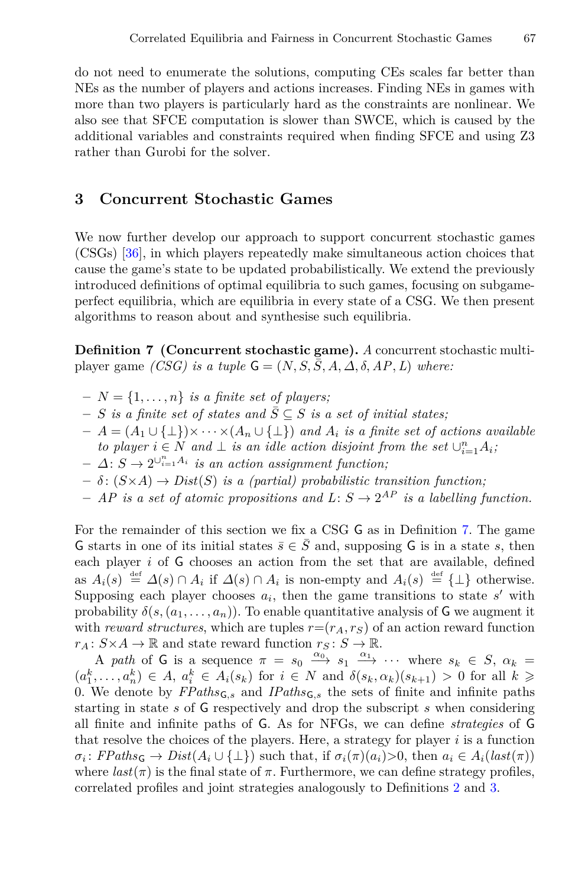do not need to enumerate the solutions, computing CEs scales far better than NEs as the number of players and actions increases. Finding NEs in games with more than two players is particularly hard as the constraints are nonlinear. We also see that SFCE computation is slower than SWCE, which is caused by the additional variables and constraints required when fnding SFCE and using Z3 rather than Gurobi for the solver.

# **3 Concurrent Stochastic Games**

We now further develop our approach to support concurrent stochastic games (CSGs) [\[36](#page-18-12)], in which players repeatedly make simultaneous action choices that cause the game's state to be updated probabilistically. We extend the previously introduced defnitions of optimal equilibria to such games, focusing on subgameperfect equilibria, which are equilibria in every state of a CSG. We then present algorithms to reason about and synthesise such equilibria.

<span id="page-8-0"></span>**Defnition 7 (Concurrent stochastic game).** *A* concurrent stochastic multiplayer game *(CSG)* is a tuple  $G = (N, S, \overline{S}, A, \Delta, \delta, AP, L)$  where:

- $-N = \{1, \ldots, n\}$  *is a finite set of players;*
- $− S$  *is a finite set of states and*  $\overline{S} \subseteq S$  *is a set of initial states;*
- **–** *A* = (*A*<sup>1</sup> *∪ {⊥}*)*× · · · ×*(*A<sup>n</sup> ∪ {⊥}*) *and A<sup>i</sup> is a fnite set of actions available*
- *to player*  $i \in N$  *and*  $\perp$  *is an idle action disjoint from the set*  $\cup_{i=1}^{n} A_i$ ;
- $-$  *∆*: *S* → 2<sup>*∪*<sub>*i*=1</sub>*A*<sub>*i*</sub></sup> *is an action assignment function*;
- $\delta$ :  $(S \times A) \rightarrow Dist(S)$  *is a (partial) probabilistic transition function;*
- $-$  *AP is a set of atomic propositions and*  $L: S \rightarrow 2^{AP}$  *is a labelling function.*

For the remainder of this section we fx a CSG G as in Defnition [7](#page-8-0). The game G starts in one of its initial states  $\bar{s} \in \bar{S}$  and, supposing G is in a state *s*, then each player *i* of G chooses an action from the set that are available, defned as  $A_i(s) \stackrel{\text{def}}{=} \Delta(s) \cap A_i$  if  $\Delta(s) \cap A_i$  is non-empty and  $A_i(s) \stackrel{\text{def}}{=} {\{\perp\}}$  otherwise. Supposing each player chooses  $a_i$ , then the game transitions to state  $s'$  with probability  $\delta(s,(a_1,\ldots,a_n))$ . To enable quantitative analysis of **G** we augment it with *reward structures*, which are tuples  $r = (r_A, r_S)$  of an action reward function  $r_A: S \times A \to \mathbb{R}$  and state reward function  $r_S: S \to \mathbb{R}$ .

A *path* of G is a sequence  $\pi = s_0 \xrightarrow{\alpha_0} s_1 \xrightarrow{\alpha_1} \cdots$  where  $s_k \in S$ ,  $\alpha_k =$  $(a_1^k, \ldots, a_n^k) \in A, a_i^k \in A_i(s_k)$  for  $i \in N$  and  $\delta(s_k, \alpha_k)(s_{k+1}) > 0$  for all  $k \geq$ 0. We denote by *FPaths*G*,s* and *IPaths*G*,s* the sets of fnite and infnite paths starting in state *s* of G respectively and drop the subscript *s* when considering all fnite and infnite paths of G. As for NFGs, we can defne *strategies* of G that resolve the choices of the players. Here, a strategy for player *i* is a function  $\sigma_i$ :  $FPaths_{\mathsf{G}} \rightarrow Dist(A_i \cup \{\perp\})$  such that, if  $\sigma_i(\pi)(a_i) > 0$ , then  $a_i \in A_i(last(\pi))$ where  $last(\pi)$  is the final state of  $\pi$ . Furthermore, we can define strategy profiles, correlated profles and joint strategies analogously to Defnitions [2](#page-3-0) and [3](#page-3-1).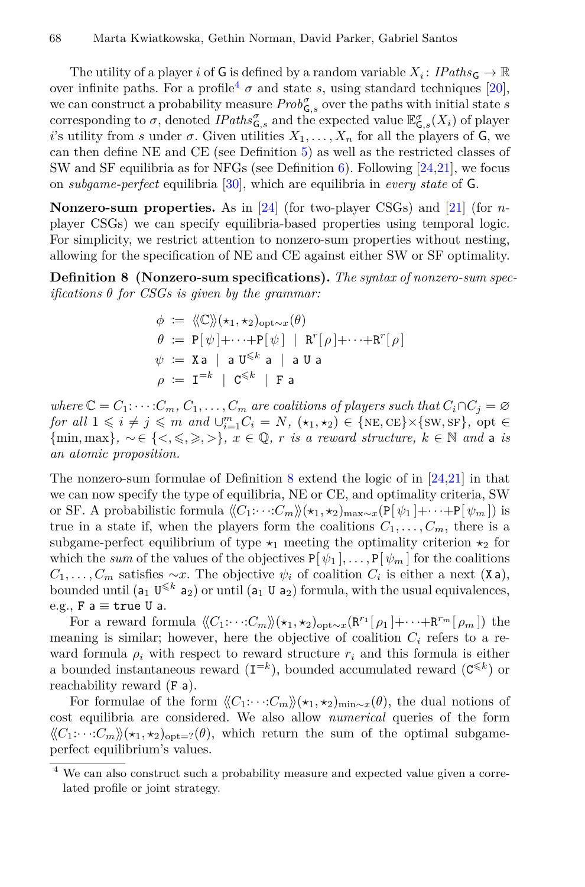The utility of a player *i* of G is defined by a random variable  $X_i$ :  $\text{ }$   $\text{ }$  $\text{ }$  $\text{ }$  $\text{ }$  $\text{ }$  $\text{ }$  $\text{ }$  $\text{ }$  $\text{ }$  $\text{ }$  $\text{ }$  $\text{ }$  $\text{ }$  $\text{ }$  $\text{ }$  $\text{ }$  $\text{ }$  $\text{ }$  $\text{ }$  $\text{ }$  $\text{ }$  $\text{ }$   $\text{ }$  $\text{$ over infinite paths. For a profile<sup>[4](#page-9-0)</sup>  $\sigma$  and state *s*, using standard techniques [[20\]](#page-17-13), we can construct a probability measure  $Prob^{\sigma}_{\mathsf{G},s}$  over the paths with initial state *s* corresponding to  $\sigma$ , denoted  $\text{IPaths}_{\mathsf{G},s}^{\sigma}$  and the expected value  $\mathbb{E}_{\mathsf{G},s}^{\sigma}(X_i)$  of player *i*'s utility from *s* under *σ*. Given utilities  $X_1, \ldots, X_n$  for all the players of G, we can then defne NE and CE (see Defnition [5](#page-4-0)) as well as the restricted classes of SW and SF equilibria as for NFGs (see Definition [6](#page-5-1)). Following  $[24,21]$  $[24,21]$  $[24,21]$  $[24,21]$ , we focus on *subgame-perfect* equilibria [[30\]](#page-18-13), which are equilibria in *every state* of G.

**Nonzero-sum properties.** As in [[24\]](#page-18-0) (for two-player CSGs) and [\[21](#page-17-2)] (for *n*player CSGs) we can specify equilibria-based properties using temporal logic. For simplicity, we restrict attention to nonzero-sum properties without nesting, allowing for the specifcation of NE and CE against either SW or SF optimality.

<span id="page-9-1"></span>**Defnition 8 (Nonzero-sum specifcations).** *The syntax of nonzero-sum specifcations θ for CSGs is given by the grammar:*

$$
\begin{aligned}\n\phi &:= \langle \langle \mathbb{C} \rangle \rangle (\star_1, \star_2)_{\text{opt} \sim x}(\theta) \\
\theta &:= \mathbb{P}[\psi] + \cdots + \mathbb{P}[\psi] \mid \mathbb{R}^r[\rho] + \cdots + \mathbb{R}^r[\rho] \\
\psi &:= \mathbb{X} \mathsf{a} \mid \mathsf{a} \mathbb{U}^{\leq k} \mathsf{a} \mid \mathsf{a} \mathbb{U} \mathsf{a} \\
\rho &:= \mathbb{I}^{=k} \mid \mathbb{C}^{\leq k} \mid \mathbb{F} \mathsf{a}\n\end{aligned}
$$

*where*  $\mathbb{C} = C_1: \cdots: C_m, C_1, \ldots, C_m$  *are coalitions of players such that*  $C_i \cap C_j = \emptyset$ for all  $1 \leq i \neq j \leq m$  and  $\bigcup_{i=1}^{m} C_i = N$ ,  $(\star_1, \star_2) \in {\text{NE}, \text{CE}} \times {\text{SW}, \text{SF}}$ , opt  $\in$  ${\min \, \max \,}$ ,  $\sim \in \{ \leq \, \leq \, \leq \, \geq \}$ ,  $x \in \mathbb{Q}$ , *r is a reward structure,*  $k \in \mathbb{N}$  *and* a *is an atomic proposition.*

The nonzero-sum formulae of Definition [8](#page-9-1) extend the logic of in  $[24,21]$  $[24,21]$  in that we can now specify the type of equilibria, NE or CE, and optimality criteria, SW or SF. A probabilistic formula  $\langle\langle C_1:\cdots:C_m\rangle\rangle(\star_1,\star_2)_{\max\sim x}$  (P[ $\psi_1$ ]+···+P[ $\psi_m$ ]) is true in a state if, when the players form the coalitions  $C_1, \ldots, C_m$ , there is a subgame-perfect equilibrium of type  $\star_1$  meeting the optimality criterion  $\star_2$  for which the *sum* of the values of the objectives  $P[\psi_1], \ldots, P[\psi_m]$  for the coalitions  $C_1, \ldots, C_m$  satisfies  $\sim x$ . The objective  $\psi_i$  of coalition  $C_i$  is either a next (X a), bounded until ( $a_1$  U<sup> $\leq k$ </sup>  $a_2$ ) or until ( $a_1$  U  $a_2$ ) formula, with the usual equivalences, e.g., F a *≡* true U a.

For a reward formula  $\langle\langle C_1:\cdots:C_m\rangle\rangle(\star_1,\star_2)_{\text{opt}\sim x}(\mathbf{R}^{r_1}[\rho_1]+\cdots+\mathbf{R}^{r_m}[\rho_m])$  the meaning is similar; however, here the objective of coalition  $C_i$  refers to a reward formula  $\rho_i$  with respect to reward structure  $r_i$  and this formula is either a bounded instantaneous reward  $(\mathbf{I}^{=k})$ , bounded accumulated reward  $(\mathbf{C}^{\leq k})$  or reachability reward (F a).

For formulae of the form  $\langle\langle C_1:\cdots:C_m\rangle\rangle(\star_1,\star_2)_{\min\sim x}(\theta)$ , the dual notions of cost equilibria are considered. We also allow *numerical* queries of the form  $\langle\langle C_1:\cdots:C_m\rangle\rangle_{\langle x_1,x_2\rangle_{\text{opt}=2}}(\theta)$ , which return the sum of the optimal subgameperfect equilibrium's values.

<span id="page-9-0"></span><sup>4</sup> We can also construct such a probability measure and expected value given a correlated profle or joint strategy.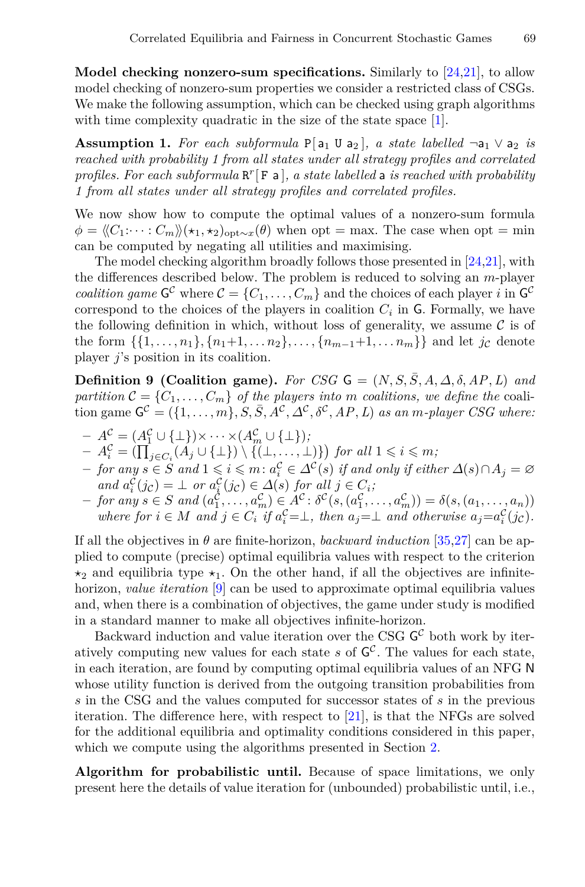**Model checking nonzero-sum specifcations.** Similarly to [[24,](#page-18-0)[21](#page-17-2)], to allow model checking of nonzero-sum properties we consider a restricted class of CSGs. We make the following assumption, which can be checked using graph algorithms with time complexity quadratic in the size of the state space [[1\]](#page-17-14).

**Assumption 1.** For each subformula  $P[a_1 \cup a_2]$ *, a state labelled*  $\neg a_1 \vee a_2$  *is reached with probability 1 from all states under all strategy profles and correlated profles. For each subformula* R *r* [ F a ]*, a state labelled* a *is reached with probability 1 from all states under all strategy profles and correlated profles.*

We now show how to compute the optimal values of a nonzero-sum formula  $\phi = \langle C_1: \cdots: C_m \rangle \langle \star_1, \star_2 \rangle_{\text{opt} \sim x}(\theta)$  when opt = max. The case when opt = min can be computed by negating all utilities and maximising.

The model checking algorithm broadly follows those presented in[[24,](#page-18-0)[21\]](#page-17-2), with the diferences described below. The problem is reduced to solving an *m*-player *coalition game*  $G^c$  where  $C = \{C_1, \ldots, C_m\}$  and the choices of each player *i* in  $G^c$ correspond to the choices of the players in coalition  $C_i$  in  $\mathsf{G}$ . Formally, we have the following definition in which, without loss of generality, we assume  $\mathcal C$  is of the form  $\{\{1, \ldots, n_1\}, \{n_1+1, \ldots, n_2\}, \ldots, \{n_{m-1}+1, \ldots, n_m\}\}\$ and let *jc* denote player *j*'s position in its coalition.

**Definition 9 (Coalition game).** *For CSG*  $G = (N, S, \overline{S}, A, \Delta, \delta, AP, L)$  *and partition*  $\mathcal{C} = \{C_1, \ldots, C_m\}$  *of the players into m coalitions, we define the* coali- $\mathbf{G}^{\mathcal{C}} = (\{1, \ldots, m\}, S, \bar{S}, A^{\mathcal{C}}, \Delta^{\mathcal{C}}, \delta^{\mathcal{C}}, AP, L)$  *as an m-player CSG where:* 

- $A^c = (A_1^c \cup \{\bot\}) \times \cdots \times (A_m^c \cup \{\bot\})$
- $A_i^{\mathcal{C}} = (\prod_{j \in C_i} (A_j \cup \{\bot\}) \setminus \{(\bot, \dots, \bot)\})$  for all  $1 \leq i \leq m$ ;
- $-$  for any  $s \in S$  and  $1 \leqslant i \leqslant m \colon a^C_i \in \varDelta^{\mathcal{C}}(s)$  if and only if either  $\varDelta(s) \cap A_j = \varnothing$  $\alpha_i^C(j_c) = \bot$  *or*  $a_i^C(j_c) \in \Delta(s)$  *for all*  $j \in C_i$ ;
- $-$  for any  $s \in S$  and  $(a_1^C, ..., a_m^C) \in A^C$ :  $\delta^C(s, (a_1^C, ..., a_m^C)) = \delta(s, (a_1, ..., a_n))$ where for  $i \in M$  and  $j \in C_i$  if  $a_i^C = \perp$ , then  $a_j = \perp$  and otherwise  $a_j = a_i^C(j_c)$ .

If all the objectives in *θ* are fnite-horizon, *backward induction* [[35](#page-18-14)[,27](#page-18-5)] can be applied to compute (precise) optimal equilibria values with respect to the criterion *⋆*<sup>2</sup> and equilibria type *⋆*1. On the other hand, if all the objectives are infnitehorizon, *value iteration* [\[9](#page-17-15)] can be used to approximate optimal equilibria values and, when there is a combination of objectives, the game under study is modifed in a standard manner to make all objectives infnite-horizon.

Backward induction and value iteration over the CSG  $\mathsf{G}^{\mathcal{C}}$  both work by iteratively computing new values for each state *s* of G *C* . The values for each state, in each iteration, are found by computing optimal equilibria values of an NFG N whose utility function is derived from the outgoing transition probabilities from *s* in the CSG and the values computed for successor states of *s* in the previous iteration. The diference here, with respect to [[21](#page-17-2)], is that the NFGs are solved for the additional equilibria and optimality conditions considered in this paper, which we compute using the algorithms presented in Section [2](#page-3-2).

**Algorithm for probabilistic until.** Because of space limitations, we only present here the details of value iteration for (unbounded) probabilistic until, i.e.,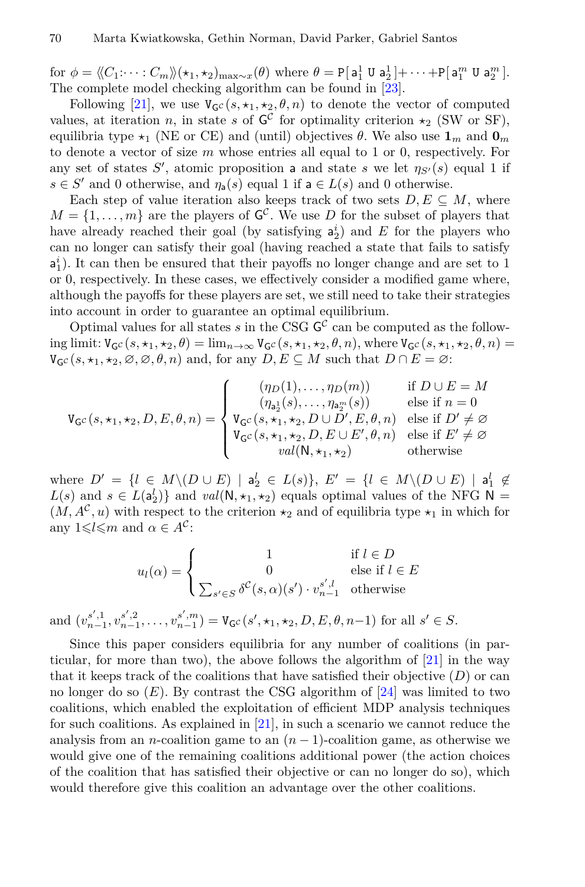for  $\phi = \langle\!\langle C_1: \cdots: C_m \rangle\!\rangle, \langle \star_1, \star_2 \rangle_{\max \sim x}(\theta)$  where  $\theta = \texttt{P}[\mathsf{a}_1^1 \cup \mathsf{a}_2^1] + \cdots + \texttt{P}[\mathsf{a}_1^m \cup \mathsf{a}_2^m]$ . The complete model checking algorithm can be found in [\[23](#page-18-1)].

Following [[21\]](#page-17-2), we use  $V_{\mathcal{G}}c(s, \star_1, \star_2, \theta, n)$  to denote the vector of computed values, at iteration *n*, in state *s* of  $G^C$  for optimality criterion  $\star_2$  (SW or SF), equilibria type  $\star_1$  (NE or CE) and (until) objectives  $\theta$ . We also use  $\mathbf{1}_m$  and  $\mathbf{0}_m$ to denote a vector of size *m* whose entries all equal to 1 or 0, respectively. For any set of states *S ′* , atomic proposition a and state *s* we let *ηS′* (*s*) equal 1 if *s*  $\in$  *S'* and 0 otherwise, and *η*<sub>a</sub>(*s*) equal 1 if **a**  $\in$  *L*(*s*) and 0 otherwise.

Each step of value iteration also keeps track of two sets  $D, E \subseteq M$ , where  $M = \{1, \ldots, m\}$  are the players of  $G^{\mathcal{C}}$ . We use *D* for the subset of players that have already reached their goal (by satisfying  $a_2^i$ ) and *E* for the players who can no longer can satisfy their goal (having reached a state that fails to satisfy  $a_1^i$ ). It can then be ensured that their payoffs no longer change and are set to 1 or 0, respectively. In these cases, we efectively consider a modifed game where, although the payofs for these players are set, we still need to take their strategies into account in order to guarantee an optimal equilibrium.

Optimal values for all states  $s$  in the CSG  $\mathsf{G}^{\mathcal{C}}$  can be computed as the following limit:  $V_{\mathsf{G}^{\mathcal{C}}}(s, \star_1, \star_2, \theta) = \lim_{n \to \infty} V_{\mathsf{G}^{\mathcal{C}}}(s, \star_1, \star_2, \theta, n)$ , where  $V_{\mathsf{G}^{\mathcal{C}}}(s, \star_1, \star_2, \theta, n) =$  $V_{\mathsf{G}^{\mathcal{C}}}(s, \star_1, \star_2, \emptyset, \emptyset, \emptyset, n)$  and, for any  $D, E \subseteq M$  such that  $D \cap E = \emptyset$ :

$$
\mathtt{V}_{\mathsf{G}^{\mathcal{C}}}(s,\star_1,\star_2,D,E,\theta,n)=\left\{\begin{array}{ll}(\eta_D(1),\ldots,\eta_D(m))&\text{if }D\cup E=M\\(\eta_{\mathsf{a}_2^1}(s),\ldots,\eta_{\mathsf{a}_2^m}(s))&\text{else if }n=0\\ \mathtt{V}_{\mathsf{G}^{\mathcal{C}}}(s,\star_1,\star_2,D\cup D',E,\theta,n)&\text{else if }D'\neq\varnothing\\ \mathtt{V}_{\mathsf{G}^{\mathcal{C}}}(s,\star_1,\star_2,D,E\cup E',\theta,n)&\text{else if }E'\neq\varnothing\\ \mathtt{val}(\mathsf{N},\star_1,\star_2)&\text{otherwise}\end{array}\right.
$$

where  $D' = \{l \in M \setminus (D \cup E) \mid a_2^l \in L(s)\}, E' = \{l \in M \setminus (D \cup E) \mid a_1^l \notin E\}$  $L(s)$  and  $s \in L(a_2^l)$ } and  $val(\mathsf{N}, \star_1, \star_2)$  equals optimal values of the NFG  $\mathsf{N} =$  $(M, A^c, u)$  with respect to the criterion  $\star_2$  and of equilibria type  $\star_1$  in which for any  $1 \leq l \leq m$  and  $\alpha \in A^c$ :

$$
u_l(\alpha) = \begin{cases} 1 & \text{if } l \in D \\ 0 & \text{else if } l \in E \\ \sum_{s' \in S} \delta^{\mathcal{C}}(s, \alpha)(s') \cdot v_{n-1}^{s', l} & \text{otherwise} \end{cases}
$$

and  $(v_{n-1}^{s',1}, v_{n-1}^{s',2}, \ldots, v_{n-1}^{s',m}) = V_{\mathsf{G}^{\mathcal{C}}}(s', \star_1, \star_2, D, E, \theta, n-1)$  for all  $s' \in S$ .

Since this paper considers equilibria for any number of coalitions (in particular, for more than two), the above follows the algorithm of [\[21](#page-17-2)] in the way that it keeps track of the coalitions that have satisfied their objective  $(D)$  or can no longer do so  $(E)$ . By contrast the CSG algorithm of  $[24]$  $[24]$  was limited to two coalitions, which enabled the exploitation of effcient MDP analysis techniques for such coalitions. As explained in [[21\]](#page-17-2), in such a scenario we cannot reduce the analysis from an *n*-coalition game to an  $(n-1)$ -coalition game, as otherwise we would give one of the remaining coalitions additional power (the action choices of the coalition that has satisfed their objective or can no longer do so), which would therefore give this coalition an advantage over the other coalitions.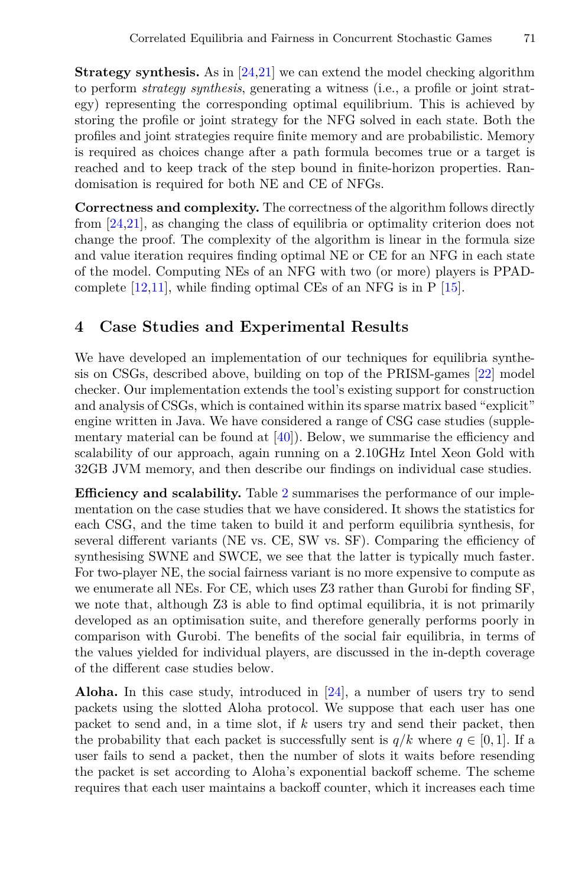**Strategy synthesis.** As in [[24](#page-18-0)[,21](#page-17-2)] we can extend the model checking algorithm to perform *strategy synthesis*, generating a witness (i.e., a profle or joint strategy) representing the corresponding optimal equilibrium. This is achieved by storing the profle or joint strategy for the NFG solved in each state. Both the profles and joint strategies require fnite memory and are probabilistic. Memory is required as choices change after a path formula becomes true or a target is reached and to keep track of the step bound in fnite-horizon properties. Randomisation is required for both NE and CE of NFGs.

**Correctness and complexity.** The correctness of the algorithm follows directly from [[24](#page-18-0)[,21](#page-17-2)], as changing the class of equilibria or optimality criterion does not change the proof. The complexity of the algorithm is linear in the formula size and value iteration requires fnding optimal NE or CE for an NFG in each state of the model. Computing NEs of an NFG with two (or more) players is PPADcomplete [[12,](#page-17-16)[11\]](#page-17-17), while fnding optimal CEs of an NFG is in P [\[15\]](#page-17-18).

# **4 Case Studies and Experimental Results**

We have developed an implementation of our techniques for equilibria synthesis on CSGs, described above, building on top of the PRISM-games [\[22](#page-17-1)] model checker. Our implementation extends the tool's existing support for construction and analysis of CSGs, which is contained within its sparse matrix based "explicit" engine written in Java. We have considered a range of CSG case studies (supplementary material can be found at  $[40]$ . Below, we summarise the efficiency and scalability of our approach, again running on a 2.10GHz Intel Xeon Gold with 32GB JVM memory, and then describe our fndings on individual case studies.

**Efficiency and scalability.** Table [2](#page-13-0) summarises the performance of our implementation on the case studies that we have considered. It shows the statistics for each CSG, and the time taken to build it and perform equilibria synthesis, for several different variants (NE vs. CE, SW vs. SF). Comparing the efficiency of synthesising SWNE and SWCE, we see that the latter is typically much faster. For two-player NE, the social fairness variant is no more expensive to compute as we enumerate all NEs. For CE, which uses Z3 rather than Gurobi for fnding SF, we note that, although Z3 is able to fnd optimal equilibria, it is not primarily developed as an optimisation suite, and therefore generally performs poorly in comparison with Gurobi. The benefts of the social fair equilibria, in terms of the values yielded for individual players, are discussed in the in-depth coverage of the diferent case studies below.

**Aloha.** In this case study, introduced in [\[24](#page-18-0)], a number of users try to send packets using the slotted Aloha protocol. We suppose that each user has one packet to send and, in a time slot, if *k* users try and send their packet, then the probability that each packet is successfully sent is  $q/k$  where  $q \in [0, 1]$ . If a user fails to send a packet, then the number of slots it waits before resending the packet is set according to Aloha's exponential backoff scheme. The scheme requires that each user maintains a backof counter, which it increases each time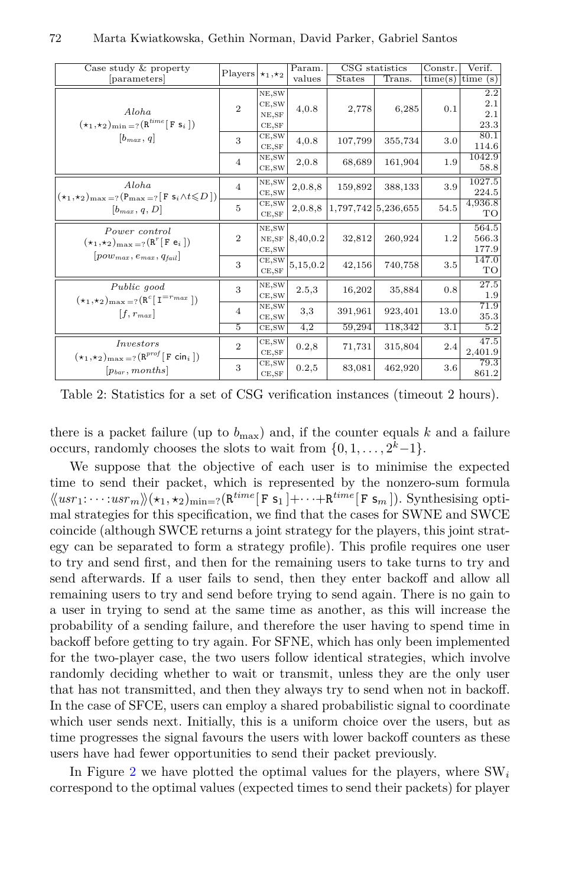<span id="page-13-0"></span>

| Case study & property                                                                                                               | Players $\star_1, \star_2$ |                                               | Param.   |         | CSG statistics      |               | Verif.                    |         |
|-------------------------------------------------------------------------------------------------------------------------------------|----------------------------|-----------------------------------------------|----------|---------|---------------------|---------------|---------------------------|---------|
| [parameters]                                                                                                                        |                            |                                               |          |         | values              | <b>States</b> | Trans.                    | time(s) |
| Aloha<br>$(\star_1,\star_2)_{\min}$ =? $(R^{time}$ [F s <sub>i</sub> ])<br>$[b_{max}, q]$                                           | $\overline{2}$             | NE, SW<br>CE, SW<br>$_{\rm NE, SF}$<br>CE, SF | 4,0.8    | 2,778   | 6,285               | 0.1           | 2.2<br>2.1<br>2.1<br>23.3 |         |
|                                                                                                                                     | 3                          | CE, SW<br>CE, SF                              | 4,0.8    | 107,799 | 355,734             | 3.0           | 80.1<br>114.6             |         |
|                                                                                                                                     | $\overline{4}$             | NE, SW<br>CE,SW                               | 2,0.8    | 68,689  | 161,904             | 1.9           | 1042.9<br>58.8            |         |
| Aloha<br>$(\star_1,\star_2)_{\text{max}=?}$ $(P_{\text{max}=?}[F \ s_i \wedge t \leq D])$<br>$[b_{max}, q, D]$                      | $\overline{4}$             | NE, SW<br>CE, SW                              | 2,0.8,8  | 159,892 | 388,133             | 3.9           | 1027.5<br>224.5           |         |
|                                                                                                                                     | 5                          | CE, SW<br>CE,SF                               | 2,0.8,8  |         | 1,797,742 5,236,655 | 54.5          | 4,936.8<br>TO             |         |
| Power control<br>$(\star_1,\star_2)_{\text{max} = ?}$ $(\mathbf{R}^r[\mathbf{F} \mathbf{e}_i])$<br>$ pow_{max}, e_{max}, q_{fail} $ | $\overline{2}$             | NE, SW<br>NE, SF<br>CE, SW                    | 8,40,0.2 | 32,812  | 260,924             | 1.2           | 564.5<br>566.3<br>177.9   |         |
|                                                                                                                                     | 3                          | CE, SW<br>CE, SF                              | 5,15,0.2 | 42,156  | 740,758             | $3.5\,$       | 147.0<br>TO               |         |
| Public good<br>$(\star_1,\star_2)_{\text{max}=?}$ $(R^c[T^{=r_{max}}])$<br>$[f, r_{max}]$                                           | 3                          | NE, SW<br>CE, SW                              | 2.5,3    | 16,202  | 35,884              | 0.8           | 27.5<br>1.9               |         |
|                                                                                                                                     | 4                          | NE, SW<br>CE, SW                              | 3,3      | 391,961 | 923,401             | 13.0          | 71.9<br>35.3              |         |
|                                                                                                                                     | 5                          | CE, SW                                        | 4,2      | 59,294  | 118,342             | 3.1           | 5.2                       |         |
| <i>Investors</i><br>$(\star_1, \star_2)_{\text{max} = ?}$ $(\mathbf{R}^{prof}[\mathbf{F} \text{ cin}_i])$<br>$[p_{bar}, months]$    | $\overline{2}$             | CE, SW<br>CE,SF                               | 0.2, 8   | 71,731  | 315,804             | 2.4           | 47.5<br>2,401.9           |         |
|                                                                                                                                     | 3                          | CE, SW<br>CE,SF                               | 0.2,5    | 83,081  | 462,920             | 3.6           | 79.3<br>861.2             |         |

Table 2: Statistics for a set of CSG verifcation instances (timeout 2 hours).

there is a packet failure (up to  $b_{\text{max}}$ ) and, if the counter equals  $k$  and a failure occurs, randomly chooses the slots to wait from  $\{0, 1, \ldots, 2^k - 1\}$ .

We suppose that the objective of each user is to minimise the expected time to send their packet, which is represented by the nonzero-sum formula  $\langle \langle u s r_1: \cdots: u s r_m \rangle \rangle (\star_1, \star_2)_{\text{min} = ?} (\mathbf{R}^{time}[\mathbf{F} \mathbf{s}_1] + \cdots + \mathbf{R}^{time}[\mathbf{F} \mathbf{s}_m]).$  Synthesising optimal strategies for this specifcation, we fnd that the cases for SWNE and SWCE coincide (although SWCE returns a joint strategy for the players, this joint strategy can be separated to form a strategy profle). This profle requires one user to try and send frst, and then for the remaining users to take turns to try and send afterwards. If a user fails to send, then they enter backoff and allow all remaining users to try and send before trying to send again. There is no gain to a user in trying to send at the same time as another, as this will increase the probability of a sending failure, and therefore the user having to spend time in backof before getting to try again. For SFNE, which has only been implemented for the two-player case, the two users follow identical strategies, which involve randomly deciding whether to wait or transmit, unless they are the only user that has not transmitted, and then they always try to send when not in backof. In the case of SFCE, users can employ a shared probabilistic signal to coordinate which user sends next. Initially, this is a uniform choice over the users, but as time progresses the signal favours the users with lower backoff counters as these users have had fewer opportunities to send their packet previously.

In Figure [2](#page-14-0) we have plotted the optimal values for the players, where SW*<sup>i</sup>* correspond to the optimal values (expected times to send their packets) for player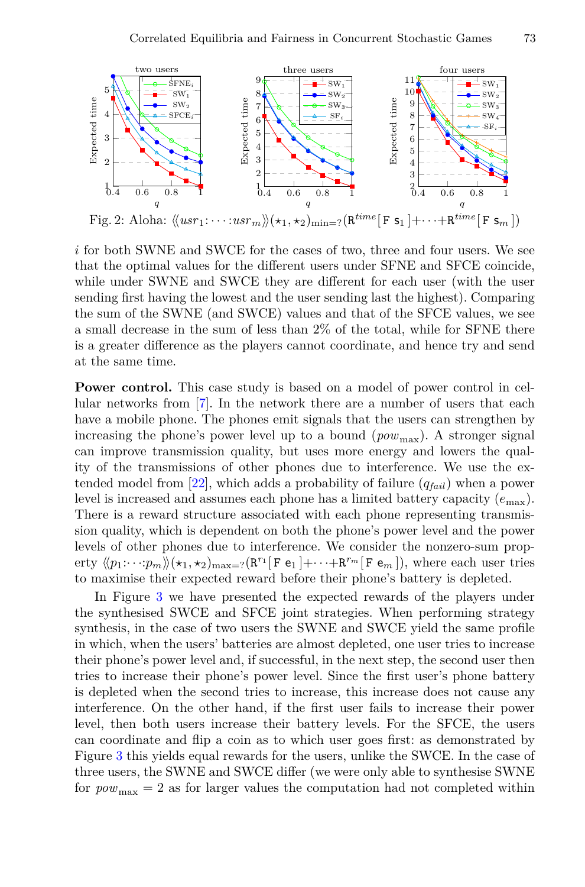<span id="page-14-0"></span>

*i* for both SWNE and SWCE for the cases of two, three and four users. We see that the optimal values for the diferent users under SFNE and SFCE coincide, while under SWNE and SWCE they are diferent for each user (with the user sending frst having the lowest and the user sending last the highest). Comparing the sum of the SWNE (and SWCE) values and that of the SFCE values, we see a small decrease in the sum of less than 2% of the total, while for SFNE there is a greater diference as the players cannot coordinate, and hence try and send at the same time.

**Power control.** This case study is based on a model of power control in cellular networks from [[7\]](#page-17-19). In the network there are a number of users that each have a mobile phone. The phones emit signals that the users can strengthen by increasing the phone's power level up to a bound  $(pow_{\text{max}})$ . A stronger signal can improve transmission quality, but uses more energy and lowers the quality of the transmissions of other phones due to interference. We use the extended model from [\[22\]](#page-17-1), which adds a probability of failure (*qfail*) when a power level is increased and assumes each phone has a limited battery capacity (*e*max). There is a reward structure associated with each phone representing transmission quality, which is dependent on both the phone's power level and the power levels of other phones due to interference. We consider the nonzero-sum property  $\langle\langle p_1:\cdots:p_m\rangle\rangle(\star_1,\star_2)_{\max=?}\left(\mathbb{R}^{r_1}[\mathbf{F}\mathbf{e}_1]+\cdots+\mathbb{R}^{r_m}[\mathbf{F}\mathbf{e}_m]\right)$ , where each user tries to maximise their expected reward before their phone's battery is depleted.

In Figure [3](#page-15-0) we have presented the expected rewards of the players under the synthesised SWCE and SFCE joint strategies. When performing strategy synthesis, in the case of two users the SWNE and SWCE yield the same profle in which, when the users' batteries are almost depleted, one user tries to increase their phone's power level and, if successful, in the next step, the second user then tries to increase their phone's power level. Since the frst user's phone battery is depleted when the second tries to increase, this increase does not cause any interference. On the other hand, if the frst user fails to increase their power level, then both users increase their battery levels. For the SFCE, the users can coordinate and fip a coin as to which user goes frst: as demonstrated by Figure [3](#page-15-0) this yields equal rewards for the users, unlike the SWCE. In the case of three users, the SWNE and SWCE difer (we were only able to synthesise SWNE for  $pow_{\text{max}} = 2$  as for larger values the computation had not completed within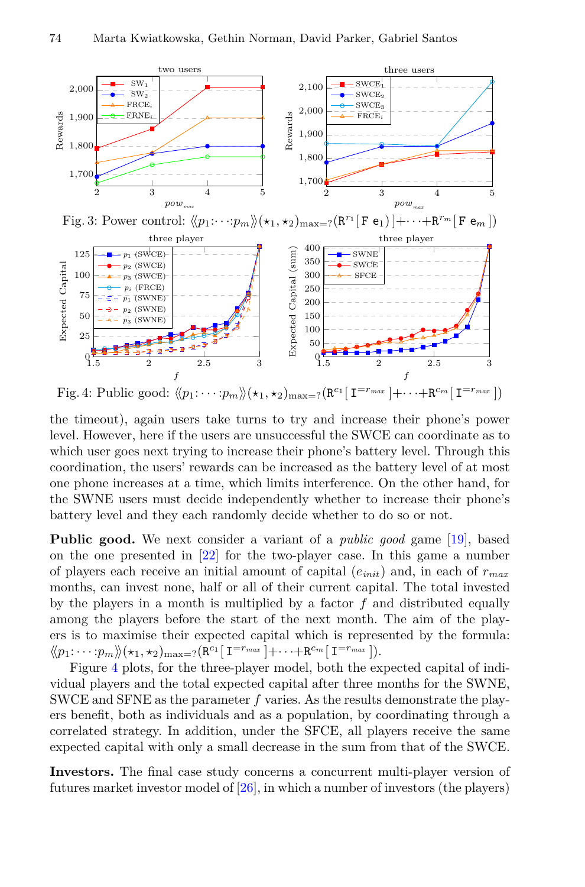<span id="page-15-1"></span><span id="page-15-0"></span>

the timeout), again users take turns to try and increase their phone's power level. However, here if the users are unsuccessful the SWCE can coordinate as to which user goes next trying to increase their phone's battery level. Through this coordination, the users' rewards can be increased as the battery level of at most one phone increases at a time, which limits interference. On the other hand, for the SWNE users must decide independently whether to increase their phone's battery level and they each randomly decide whether to do so or not.

**Public good.** We next consider a variant of a *public good* game [[19\]](#page-17-20), based on the one presented in[[22\]](#page-17-1) for the two-player case. In this game a number of players each receive an initial amount of capital (*einit*) and, in each of *rmax* months, can invest none, half or all of their current capital. The total invested by the players in a month is multiplied by a factor *f* and distributed equally among the players before the start of the next month. The aim of the players is to maximise their expected capital which is represented by the formula:  $\langle \! \langle p_1 \colon \! \cdots \colon \! \! p_m \rangle \! \rangle (\star_1, \star_2)_{\text{max}=?} (\mathbf{R}^{c_1} [\mathbf{I}^{=r_{max}}] + \cdots + \mathbf{R}^{c_m} [\mathbf{I}^{=r_{max}}]).$ 

Figure [4](#page-15-1) plots, for the three-player model, both the expected capital of individual players and the total expected capital after three months for the SWNE, SWCE and SFNE as the parameter *f* varies. As the results demonstrate the players beneft, both as individuals and as a population, by coordinating through a correlated strategy. In addition, under the SFCE, all players receive the same expected capital with only a small decrease in the sum from that of the SWCE.

**Investors.** The fnal case study concerns a concurrent multi-player version of futures market investor model of [[26](#page-18-16)], in which a number of investors (the players)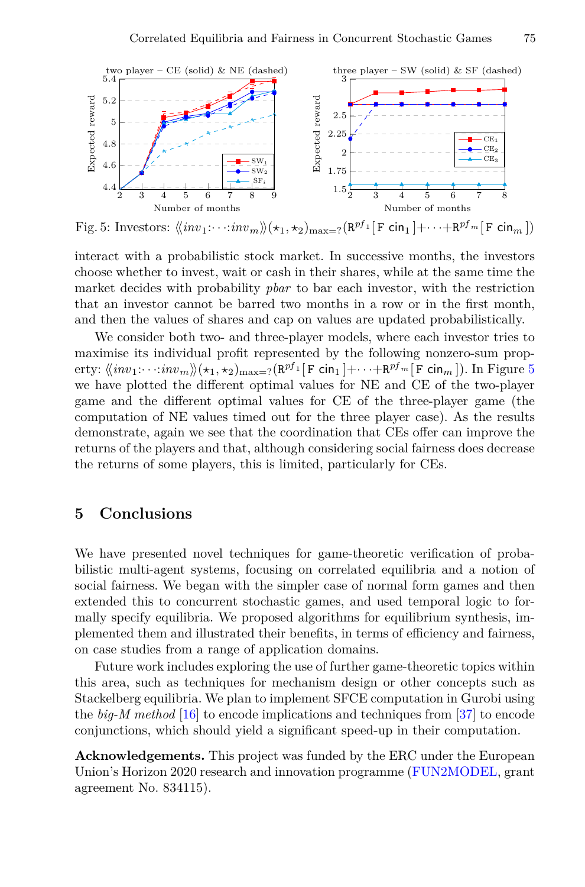<span id="page-16-1"></span>

Fig. 5: Investors:  $\langle \langle inv_1: \cdots: inv_m \rangle \rangle (\star_1, \star_2)_{\max=?} (\mathsf{R}^{pf_1}[\mathsf{F} \mathsf{cin}_1] + \cdots + \mathsf{R}^{pf_m}[\mathsf{F} \mathsf{cin}_m])$ 

interact with a probabilistic stock market. In successive months, the investors choose whether to invest, wait or cash in their shares, while at the same time the market decides with probability *pbar* to bar each investor, with the restriction that an investor cannot be barred two months in a row or in the frst month, and then the values of shares and cap on values are updated probabilistically.

We consider both two- and three-player models, where each investor tries to maximise its individual proft represented by the following nonzero-sum property:  $\langle\!\langle \mathit{inv}_1{:} \cdots{:} \mathit{inv}_m \rangle\!\rangle(\star_1, \star_2)_{\max=?} (\mathsf{R}^{pf} \textbf{1} [\mathtt{F} \ \mathsf{cin}_1] + \cdots + \mathsf{R}^{pf}{}^m [\mathtt{F} \ \mathsf{cin}_m])$ . In Figure [5](#page-16-1) we have plotted the diferent optimal values for NE and CE of the two-player game and the diferent optimal values for CE of the three-player game (the computation of NE values timed out for the three player case). As the results demonstrate, again we see that the coordination that CEs ofer can improve the returns of the players and that, although considering social fairness does decrease the returns of some players, this is limited, particularly for CEs.

# <span id="page-16-0"></span>**5 Conclusions**

We have presented novel techniques for game-theoretic verifcation of probabilistic multi-agent systems, focusing on correlated equilibria and a notion of social fairness. We began with the simpler case of normal form games and then extended this to concurrent stochastic games, and used temporal logic to formally specify equilibria. We proposed algorithms for equilibrium synthesis, implemented them and illustrated their benefts, in terms of effciency and fairness, on case studies from a range of application domains.

Future work includes exploring the use of further game-theoretic topics within this area, such as techniques for mechanism design or other concepts such as Stackelberg equilibria. We plan to implement SFCE computation in Gurobi using the *big-M method* [\[16](#page-17-21)] to encode implications and techniques from [\[37](#page-18-17)] to encode conjunctions, which should yield a signifcant speed-up in their computation.

**Acknowledgements.** This project was funded by the ERC under the European Union's Horizon 2020 research and innovation programme ([FUN2MODEL,](http://www.fun2model.org) grant agreement No. 834115).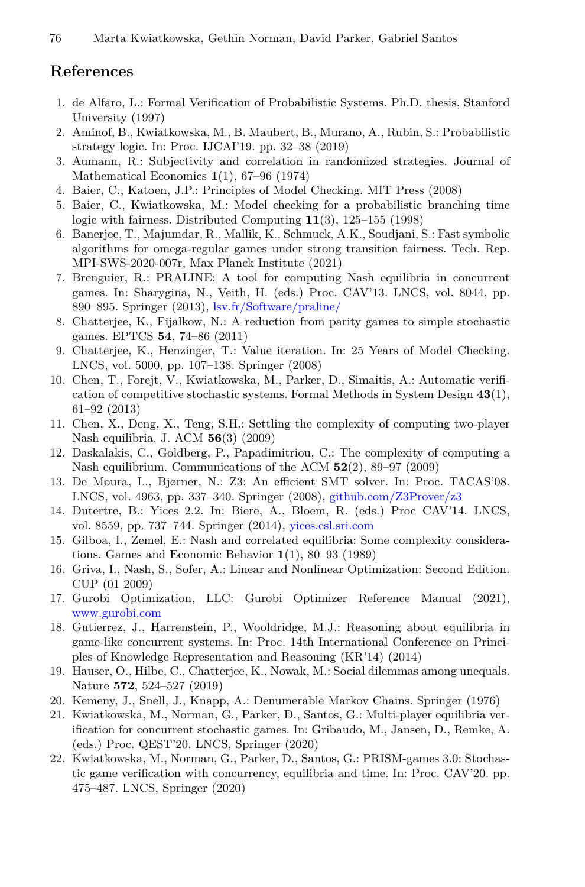# **References**

- <span id="page-17-14"></span>1. de Alfaro, L.: Formal Verifcation of Probabilistic Systems. Ph.D. thesis, Stanford University (1997)
- <span id="page-17-5"></span>2. Aminof, B., Kwiatkowska, M., B. Maubert, B., Murano, A., Rubin, S.: Probabilistic strategy logic. In: Proc. IJCAI'19. pp. 32–38 (2019)
- <span id="page-17-3"></span>3. Aumann, R.: Subjectivity and correlation in randomized strategies. Journal of Mathematical Economics **1**(1), 67–96 (1974)
- <span id="page-17-7"></span>4. Baier, C., Katoen, J.P.: Principles of Model Checking. MIT Press (2008)
- <span id="page-17-6"></span>5. Baier, C., Kwiatkowska, M.: Model checking for a probabilistic branching time logic with fairness. Distributed Computing **11**(3), 125–155 (1998)
- <span id="page-17-9"></span>6. Banerjee, T., Majumdar, R., Mallik, K., Schmuck, A.K., Soudjani, S.: Fast symbolic algorithms for omega-regular games under strong transition fairness. Tech. Rep. MPI-SWS-2020-007r, Max Planck Institute (2021)
- <span id="page-17-19"></span>7. Brenguier, R.: PRALINE: A tool for computing Nash equilibria in concurrent games. In: Sharygina, N., Veith, H. (eds.) Proc. CAV'13. LNCS, vol. 8044, pp. 890–895. Springer (2013), [lsv.fr/Software/praline/](http://www.lsv.fr/Software/praline/)
- <span id="page-17-8"></span>8. Chatterjee, K., Fijalkow, N.: A reduction from parity games to simple stochastic games. EPTCS **54**, 74–86 (2011)
- <span id="page-17-15"></span>9. Chatterjee, K., Henzinger, T.: Value iteration. In: 25 Years of Model Checking. LNCS, vol. 5000, pp. 107–138. Springer (2008)
- <span id="page-17-0"></span>10. Chen, T., Forejt, V., Kwiatkowska, M., Parker, D., Simaitis, A.: Automatic verifcation of competitive stochastic systems. Formal Methods in System Design **43**(1), 61–92 (2013)
- <span id="page-17-17"></span>11. Chen, X., Deng, X., Teng, S.H.: Settling the complexity of computing two-player Nash equilibria. J. ACM **56**(3) (2009)
- <span id="page-17-16"></span>12. Daskalakis, C., Goldberg, P., Papadimitriou, C.: The complexity of computing a Nash equilibrium. Communications of the ACM **52**(2), 89–97 (2009)
- <span id="page-17-10"></span>13. De Moura, L., Bjørner, N.: Z3: An effcient SMT solver. In: Proc. TACAS'08. LNCS, vol. 4963, pp. 337–340. Springer (2008), [github.com/Z3Prover/z3](https://github.com/Z3Prover/z3)
- <span id="page-17-11"></span>14. Dutertre, B.: Yices 2.2. In: Biere, A., Bloem, R. (eds.) Proc CAV'14. LNCS, vol. 8559, pp. 737–744. Springer (2014), [yices.csl.sri.com](http://yices.csl.sri.com)
- <span id="page-17-18"></span>15. Gilboa, I., Zemel, E.: Nash and correlated equilibria: Some complexity considerations. Games and Economic Behavior **1**(1), 80–93 (1989)
- <span id="page-17-21"></span>16. Griva, I., Nash, S., Sofer, A.: Linear and Nonlinear Optimization: Second Edition. CUP (01 2009)
- <span id="page-17-12"></span>17. Gurobi Optimization, LLC: Gurobi Optimizer Reference Manual (2021), [www.gurobi.com](https://www.gurobi.com)
- <span id="page-17-4"></span>18. Gutierrez, J., Harrenstein, P., Wooldridge, M.J.: Reasoning about equilibria in game-like concurrent systems. In: Proc. 14th International Conference on Principles of Knowledge Representation and Reasoning (KR'14) (2014)
- <span id="page-17-20"></span>19. Hauser, O., Hilbe, C., Chatterjee, K., Nowak, M.: Social dilemmas among unequals. Nature **572**, 524–527 (2019)
- <span id="page-17-13"></span>20. Kemeny, J., Snell, J., Knapp, A.: Denumerable Markov Chains. Springer (1976)
- <span id="page-17-2"></span>21. Kwiatkowska, M., Norman, G., Parker, D., Santos, G.: Multi-player equilibria verifcation for concurrent stochastic games. In: Gribaudo, M., Jansen, D., Remke, A. (eds.) Proc. QEST'20. LNCS, Springer (2020)
- <span id="page-17-1"></span>22. Kwiatkowska, M., Norman, G., Parker, D., Santos, G.: PRISM-games 3.0: Stochastic game verifcation with concurrency, equilibria and time. In: Proc. CAV'20. pp. 475–487. LNCS, Springer (2020)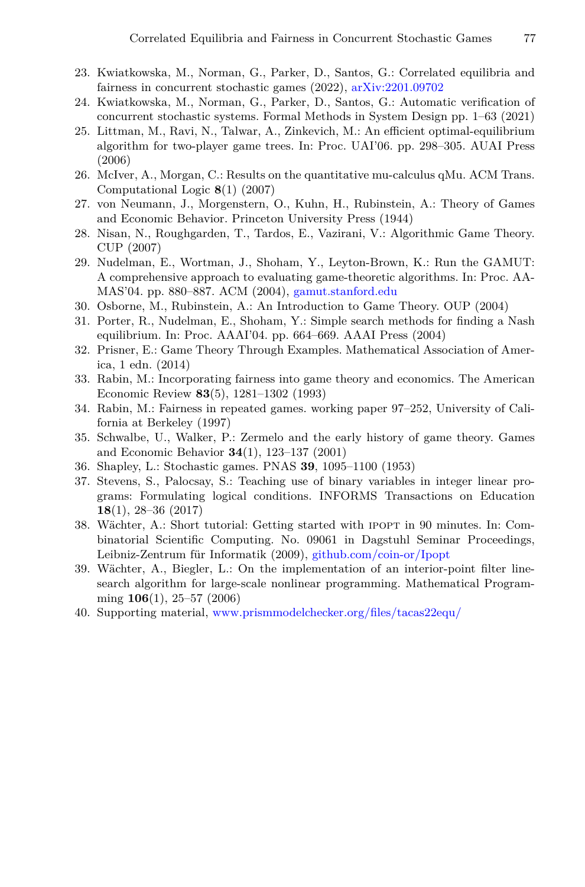- <span id="page-18-1"></span>23. Kwiatkowska, M., Norman, G., Parker, D., Santos, G.: Correlated equilibria and fairness in concurrent stochastic games (2022), [arXiv:2201.09702](http://arxiv.org/abs/2201.09702)
- <span id="page-18-0"></span>24. Kwiatkowska, M., Norman, G., Parker, D., Santos, G.: Automatic verifcation of concurrent stochastic systems. Formal Methods in System Design pp. 1–63 (2021)
- <span id="page-18-4"></span>25. Littman, M., Ravi, N., Talwar, A., Zinkevich, M.: An effcient optimal-equilibrium algorithm for two-player game trees. In: Proc. UAI'06. pp. 298–305. AUAI Press (2006)
- <span id="page-18-16"></span>26. McIver, A., Morgan, C.: Results on the quantitative mu-calculus qMu. ACM Trans. Computational Logic **8**(1) (2007)
- <span id="page-18-5"></span>27. von Neumann, J., Morgenstern, O., Kuhn, H., Rubinstein, A.: Theory of Games and Economic Behavior. Princeton University Press (1944)
- <span id="page-18-7"></span>28. Nisan, N., Roughgarden, T., Tardos, E., Vazirani, V.: Algorithmic Game Theory. CUP (2007)
- <span id="page-18-11"></span>29. Nudelman, E., Wortman, J., Shoham, Y., Leyton-Brown, K.: Run the GAMUT: A comprehensive approach to evaluating game-theoretic algorithms. In: Proc. AA-MAS'04. pp. 880–887. ACM (2004), [gamut.stanford.edu](http://gamut.stanford.edu)
- <span id="page-18-13"></span>30. Osborne, M., Rubinstein, A.: An Introduction to Game Theory. OUP (2004)
- <span id="page-18-8"></span>31. Porter, R., Nudelman, E., Shoham, Y.: Simple search methods for fnding a Nash equilibrium. In: Proc. AAAI'04. pp. 664–669. AAAI Press (2004)
- <span id="page-18-6"></span>32. Prisner, E.: Game Theory Through Examples. Mathematical Association of America, 1 edn. (2014)
- <span id="page-18-2"></span>33. Rabin, M.: Incorporating fairness into game theory and economics. The American Economic Review **83**(5), 1281–1302 (1993)
- <span id="page-18-3"></span>34. Rabin, M.: Fairness in repeated games. working paper 97–252, University of California at Berkeley (1997)
- <span id="page-18-14"></span>35. Schwalbe, U., Walker, P.: Zermelo and the early history of game theory. Games and Economic Behavior **34**(1), 123–137 (2001)
- <span id="page-18-12"></span>36. Shapley, L.: Stochastic games. PNAS **39**, 1095–1100 (1953)
- <span id="page-18-17"></span>37. Stevens, S., Palocsay, S.: Teaching use of binary variables in integer linear programs: Formulating logical conditions. INFORMS Transactions on Education **18**(1), 28–36 (2017)
- <span id="page-18-9"></span>38. Wächter, A.: Short tutorial: Getting started with ipopt in 90 minutes. In: Combinatorial Scientifc Computing. No. 09061 in Dagstuhl Seminar Proceedings, Leibniz-Zentrum für Informatik (2009), [github.com/coin-or/Ipopt](https://github.com/coin-or/Ipopt)
- <span id="page-18-10"></span>39. Wächter, A., Biegler, L.: On the implementation of an interior-point flter linesearch algorithm for large-scale nonlinear programming. Mathematical Programming **106**(1), 25–57 (2006)
- <span id="page-18-15"></span>40. Supporting material, [www.prismmodelchecker.org/fles/tacas22equ/](http://www.prismmodelchecker.org/files/tacas22equ/)